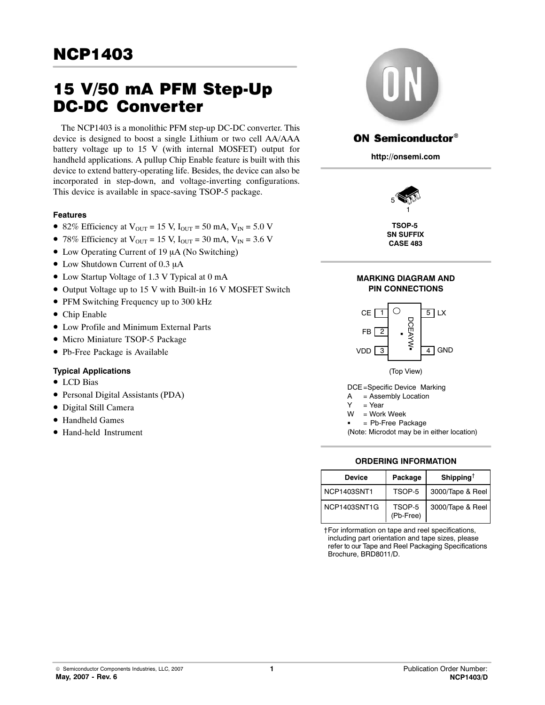# 15 V/50 mA PFM Step-Up DC-DC Converter

The NCP1403 is a monolithic PFM step-up DC-DC converter. This device is designed to boost a single Lithium or two cell AA/AAA battery voltage up to 15 V (with internal MOSFET) output for handheld applications. A pullup Chip Enable feature is built with this device to extend battery-operating life. Besides, the device can also be incorporated in step-down, and voltage-inverting configurations. This device is available in space-saving TSOP-5 package.

# **Features**

- 82% Efficiency at  $V_{\text{OUT}} = 15 \text{ V}$ ,  $I_{\text{OUT}} = 50 \text{ mA}$ ,  $V_{\text{IN}} = 5.0 \text{ V}$
- 78% Efficiency at  $V_{\text{OUT}} = 15 \text{ V}$ ,  $I_{\text{OUT}} = 30 \text{ mA}$ ,  $V_{\text{IN}} = 3.6 \text{ V}$
- Low Operating Current of 19 µA (No Switching)
- Low Shutdown Current of 0.3 µA
- Low Startup Voltage of 1.3 V Typical at 0 mA
- Output Voltage up to 15 V with Built-in 16 V MOSFET Switch
- PFM Switching Frequency up to 300 kHz
- Chip Enable
- $\bullet$  Low Profile and Minimum External Parts
- $\bullet$  Micro Miniature TSOP-5 Package
- · Pb-Free Package is Available

# **Typical Applications**

- LCD Bias
- · Personal Digital Assistants (PDA)
- · Digital Still Camera
- Handheld Games
- Hand-held Instrument



# **ON Semiconductor®**

**http://onsemi.com**



**TSOP-5 SN SUFFIX CASE 483**





DCE=Specific Device Marking

- A = Assembly Location
- $Y = Year$
- W = Work Week -
- = Pb-Free Package

(Note: Microdot may be in either location)

# **ORDERING INFORMATION**

| Device       | Package             | Shipping <sup>†</sup> |
|--------------|---------------------|-----------------------|
| NCP1403SNT1  | TSOP-5              | 3000/Tape & Reel      |
| NCP1403SNT1G | TSOP-5<br>(Pb-Free) | 3000/Tape & Reel      |

†For information on tape and reel specifications, including part orientation and tape sizes, please refer to our Tape and Reel Packaging Specifications Brochure, BRD8011/D.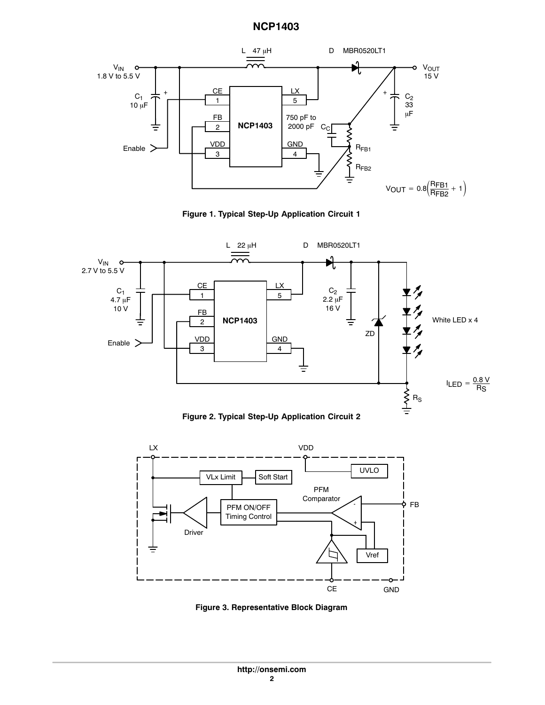<span id="page-1-0"></span>









**Figure 3. Representative Block Diagram**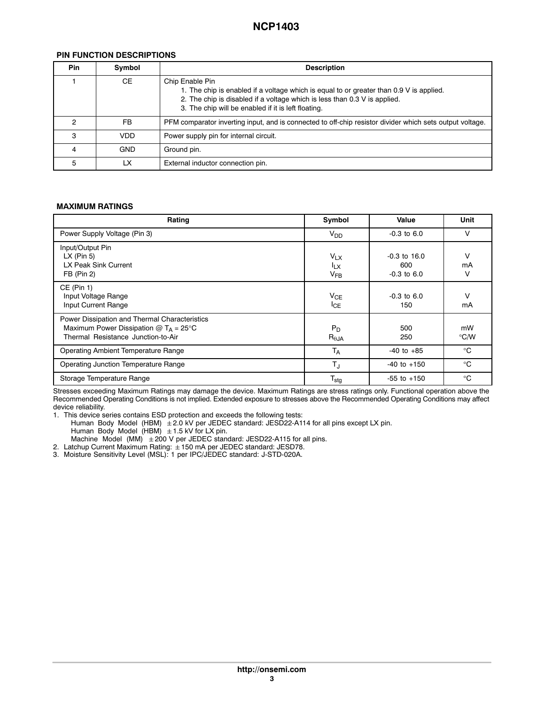# **PIN FUNCTION DESCRIPTIONS**

| <b>Pin</b> | Symbol     | <b>Description</b>                                                                                                                                                                                                                             |  |
|------------|------------|------------------------------------------------------------------------------------------------------------------------------------------------------------------------------------------------------------------------------------------------|--|
|            | <b>CE</b>  | Chip Enable Pin<br>1. The chip is enabled if a voltage which is equal to or greater than 0.9 V is applied.<br>2. The chip is disabled if a voltage which is less than 0.3 V is applied.<br>3. The chip will be enabled if it is left floating. |  |
| ົ          | <b>FB</b>  | PFM comparator inverting input, and is connected to off-chip resistor divider which sets output voltage.                                                                                                                                       |  |
| з          | <b>VDD</b> | Power supply pin for internal circuit.                                                                                                                                                                                                         |  |
|            | <b>GND</b> | Ground pin.                                                                                                                                                                                                                                    |  |
| 5          | LX         | External inductor connection pin.                                                                                                                                                                                                              |  |

#### **MAXIMUM RATINGS**

| Rating                                                                                                                               | Symbol                                  | Value                                    | Unit                |
|--------------------------------------------------------------------------------------------------------------------------------------|-----------------------------------------|------------------------------------------|---------------------|
| Power Supply Voltage (Pin 3)                                                                                                         | $V_{DD}$                                | $-0.3$ to $6.0$                          | v                   |
| Input/Output Pin<br>$LX$ (Pin 5)<br>LX Peak Sink Current<br>$FB$ (Pin 2)                                                             | $V_{LX}$<br><sup>I</sup> LX<br>$V_{FB}$ | $-0.3$ to 16.0<br>600<br>$-0.3$ to $6.0$ | V<br>mA<br>v        |
| $CE$ (Pin 1)<br>Input Voltage Range<br>Input Current Range                                                                           | $V_{CE}$<br>$I_{CE}$                    | $-0.3$ to $6.0$<br>150                   | V<br>mA             |
| Power Dissipation and Thermal Characteristics<br>Maximum Power Dissipation $@T_A = 25^\circ C$<br>Thermal Resistance Junction-to-Air | $P_D$<br>$R_{\theta$ JA                 | 500<br>250                               | mW<br>$\degree$ C/W |
| <b>Operating Ambient Temperature Range</b>                                                                                           | T <sub>A</sub>                          | $-40$ to $+85$                           | °C                  |
| Operating Junction Temperature Range                                                                                                 | TJ                                      | $-40$ to $+150$                          | °C                  |
| Storage Temperature Range                                                                                                            | $T_{\text{stg}}$                        | $-55$ to $+150$                          | $^{\circ}$ C        |

Stresses exceeding Maximum Ratings may damage the device. Maximum Ratings are stress ratings only. Functional operation above the Recommended Operating Conditions is not implied. Extended exposure to stresses above the Recommended Operating Conditions may affect device reliability.

1. This device series contains ESD protection and exceeds the following tests:

Human Body Model (HBM)  $\pm$  2.0 kV per JEDEC standard: JESD22-A114 for all pins except LX pin. Human Body Model (HBM)  $\pm$  1.5 kV for LX pin.

Machine Model (MM)  $\pm 200$  V per JEDEC standard: JESD22-A115 for all pins.

2. Latchup Current Maximum Rating: 150 mA per JEDEC standard: JESD78. 3. Moisture Sensitivity Level (MSL): 1 per IPC/JEDEC standard: J-STD-020A.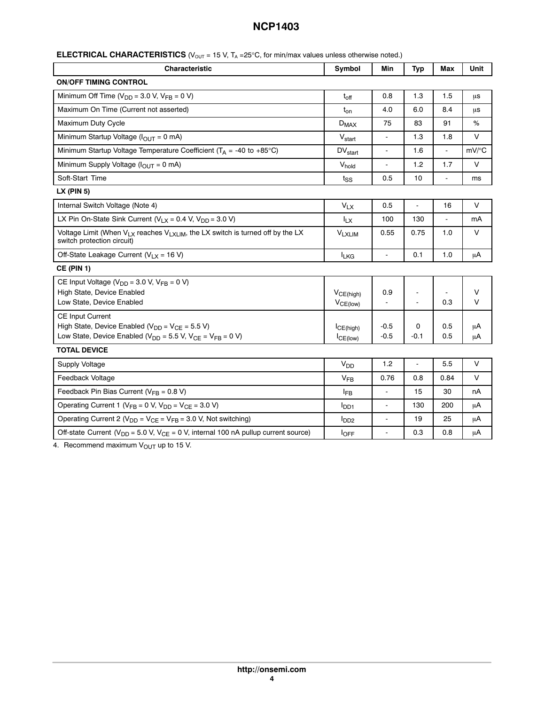| Characteristic                                                                                                                                                   | Symbol                     | Min                      | <b>Typ</b>               | Max            | Unit        |
|------------------------------------------------------------------------------------------------------------------------------------------------------------------|----------------------------|--------------------------|--------------------------|----------------|-------------|
| <b>ON/OFF TIMING CONTROL</b>                                                                                                                                     |                            |                          |                          |                |             |
| Minimum Off Time ( $V_{DD}$ = 3.0 V, $V_{FB}$ = 0 V)                                                                                                             | $t_{off}$                  | 0.8                      | 1.3                      | 1.5            | μs          |
| Maximum On Time (Current not asserted)                                                                                                                           | $t_{on}$                   | 4.0                      | 6.0                      | 8.4            | μs          |
| Maximum Duty Cycle                                                                                                                                               | $D_{MAX}$                  | 75                       | 83                       | 91             | %           |
| Minimum Startup Voltage ( $I_{OUTT}$ = 0 mA)                                                                                                                     | $V_{\text{start}}$         | L.                       | 1.3                      | 1.8            | V           |
| Minimum Startup Voltage Temperature Coefficient ( $T_A$ = -40 to +85°C)                                                                                          | DV <sub>start</sub>        | $\blacksquare$           | 1.6                      | $\blacksquare$ | mV/°C       |
| Minimum Supply Voltage (I <sub>OUT</sub> = 0 mA)                                                                                                                 | V <sub>hold</sub>          | $\overline{\phantom{a}}$ | 1.2                      | 1.7            | V           |
| Soft-Start Time                                                                                                                                                  | tss                        | 0.5                      | 10                       |                | ms          |
| $LX$ (PIN 5)                                                                                                                                                     |                            |                          |                          |                |             |
| Internal Switch Voltage (Note 4)                                                                                                                                 | $V_{LX}$                   | 0.5                      | $\mathbb{L}$             | 16             | V           |
| LX Pin On-State Sink Current ( $V_{LX}$ = 0.4 V, $V_{DD}$ = 3.0 V)                                                                                               | $I_{LX}$                   | 100                      | 130                      |                | mA          |
| Voltage Limit (When $V_{LX}$ reaches $V_{LXLIM}$ , the LX switch is turned off by the LX<br>switch protection circuit)                                           | <b>V<sub>LXLIM</sub></b>   | 0.55                     | 0.75                     | 1.0            | $\vee$      |
| Off-State Leakage Current ( $V_{LX}$ = 16 V)                                                                                                                     | <b>ILKG</b>                | L,                       | 0.1                      | 1.0            | μA          |
| <b>CE (PIN 1)</b>                                                                                                                                                |                            |                          |                          |                |             |
| CE Input Voltage ( $V_{DD}$ = 3.0 V, $V_{FB}$ = 0 V)<br>High State, Device Enabled<br>Low State, Device Enabled                                                  | VCE(high)<br>$V_{CE(low)}$ | 0.9<br>÷,                | $\overline{a}$           | 0.3            | $\vee$<br>V |
| <b>CE Input Current</b><br>High State, Device Enabled ( $V_{DD}$ = $V_{CE}$ = 5.5 V)<br>Low State, Device Enabled ( $V_{DD}$ = 5.5 V, $V_{CE}$ = $V_{FB}$ = 0 V) | ICE(high)<br>$ICE$ (low)   | $-0.5$<br>$-0.5$         | 0<br>$-0.1$              | 0.5<br>0.5     | μA<br>μA    |
| <b>TOTAL DEVICE</b>                                                                                                                                              |                            |                          |                          |                |             |
| Supply Voltage                                                                                                                                                   | V <sub>DD</sub>            | 1.2                      | $\overline{\phantom{a}}$ | 5.5            | $\vee$      |
| Feedback Voltage                                                                                                                                                 | V <sub>FB</sub>            | 0.76                     | 0.8                      | 0.84           | V           |
| Feedback Pin Bias Current ( $V_{FB}$ = 0.8 V)                                                                                                                    | <b>IFB</b>                 | L,                       | 15                       | 30             | nA          |
| Operating Current 1 ( $V_{FB} = 0$ V, $V_{DD} = V_{CE} = 3.0$ V)                                                                                                 | I <sub>DD1</sub>           | $\blacksquare$           | 130                      | 200            | μA          |
| Operating Current 2 ( $V_{DD}$ = $V_{CE}$ = $V_{FB}$ = 3.0 V, Not switching)                                                                                     | I <sub>DD2</sub>           | $\overline{\phantom{a}}$ | 19                       | 25             | μA          |
| Off-state Current ( $V_{DD}$ = 5.0 V, $V_{CE}$ = 0 V, internal 100 nA pullup current source)                                                                     | loFF                       |                          | 0.3                      | 0.8            | μA          |

4. Recommend maximum  $V_{\text{OUT}}$  up to 15 V.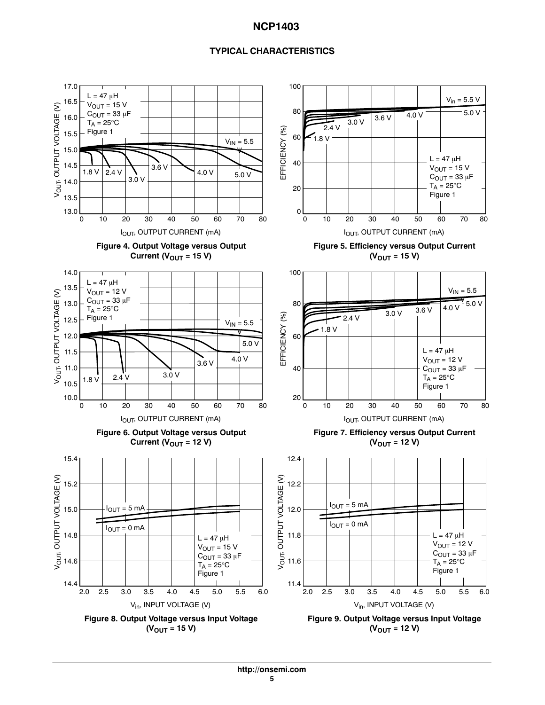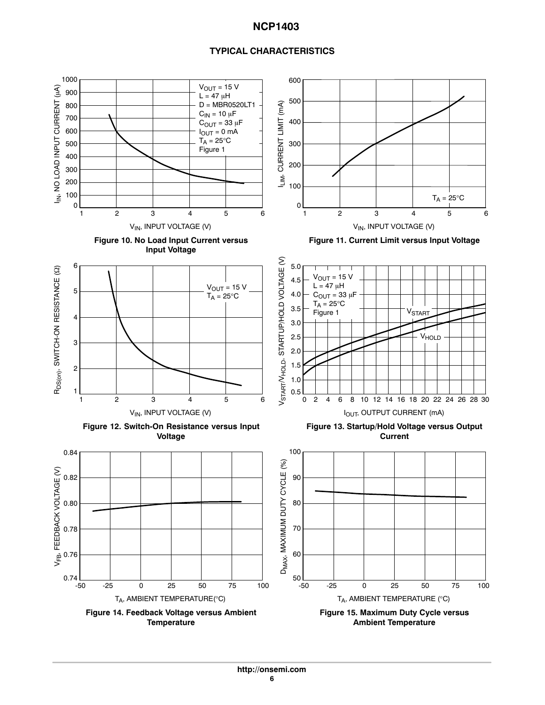<span id="page-5-0"></span>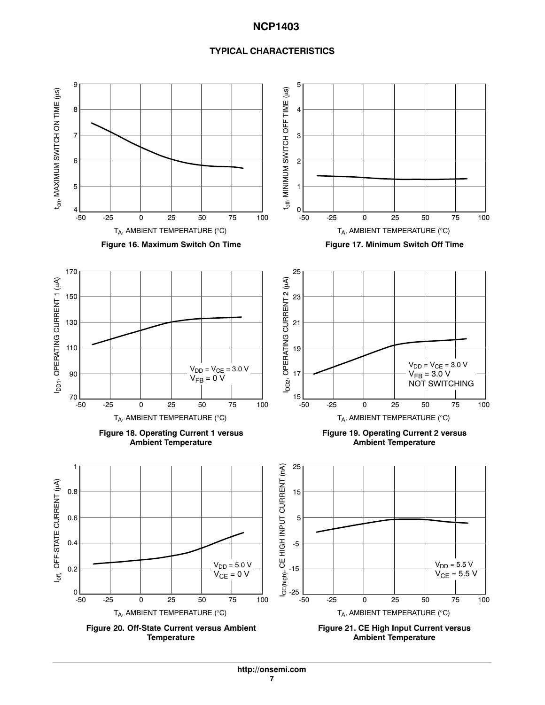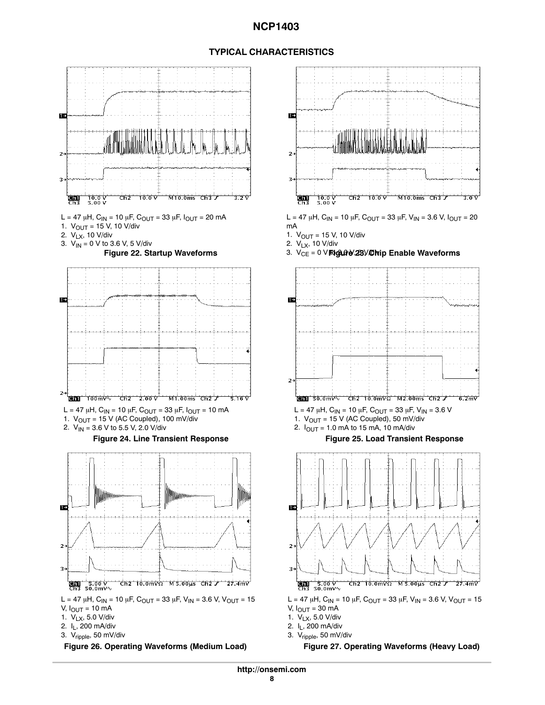



- 2. VLX, 10 V/div
- 











- 1.  $V_{LX}$ , 5.0 V/div
- 2. IL, 200 mA/div
- 3. Vripple, 50 mV/div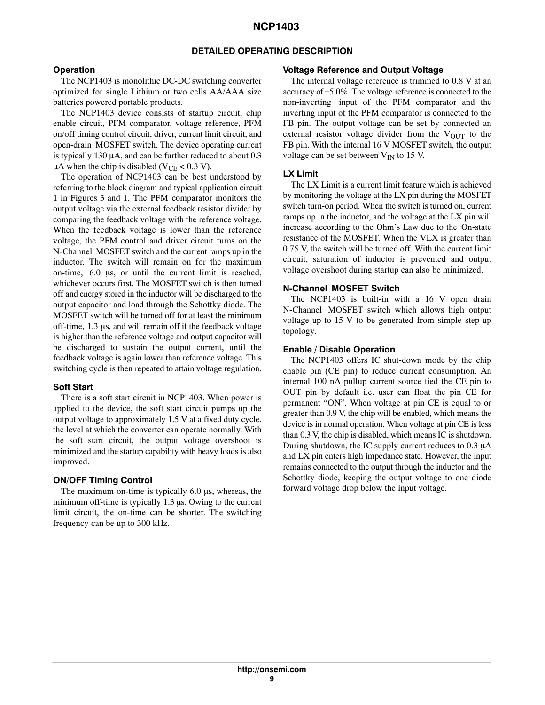## **DETAILED OPERATING DESCRIPTION**

## **Operation**

The NCP1403 is monolithic DC-DC switching converter optimized for single Lithium or two cells AA/AAA size batteries powered portable products.

The NCP1403 device consists of startup circuit, chip enable circuit, PFM comparator, voltage reference, PFM on/off timing control circuit, driver, current limit circuit, and open-drain MOSFET switch. The device operating current is typically 130  $\mu$ A, and can be further reduced to about 0.3  $\mu$ A when the chip is disabled (V<sub>CE</sub> < 0.3 V).

The operation of NCP1403 can be best understood by referring to the block diagram and typical application circuit 1 in Figures [3](#page-1-0) and [1.](#page-1-0) The PFM comparator monitors the output voltage via the external feedback resistor divider by comparing the feedback voltage with the reference voltage. When the feedback voltage is lower than the reference voltage, the PFM control and driver circuit turns on the N-Channel MOSFET switch and the current ramps up in the inductor. The switch will remain on for the maximum on-time,  $6.0 \, \mu s$ , or until the current limit is reached, whichever occurs first. The MOSFET switch is then turned off and energy stored in the inductor will be discharged to the output capacitor and load through the Schottky diode. The MOSFET switch will be turned off for at least the minimum off-time, 1.3 µs, and will remain off if the feedback voltage is higher than the reference voltage and output capacitor will be discharged to sustain the output current, until the feedback voltage is again lower than reference voltage. This switching cycle is then repeated to attain voltage regulation.

# **Soft Start**

There is a soft start circuit in NCP1403. When power is applied to the device, the soft start circuit pumps up the output voltage to approximately 1.5 V at a fixed duty cycle, the level at which the converter can operate normally. With the soft start circuit, the output voltage overshoot is minimized and the startup capability with heavy loads is also improved.

# **ON/OFF Timing Control**

The maximum on-time is typically  $6.0 \mu s$ , whereas, the minimum off-time is typically  $1.3 \mu s$ . Owing to the current limit circuit, the on-time can be shorter. The switching frequency can be up to 300 kHz.

## **Voltage Reference and Output Voltage**

The internal voltage reference is trimmed to 0.8 V at an accuracy of ±5.0%. The voltage reference is connected to the non-inverting input of the PFM comparator and the inverting input of the PFM comparator is connected to the FB pin. The output voltage can be set by connected an external resistor voltage divider from the  $V_{\text{OUT}}$  to the FB pin. With the internal 16 V MOSFET switch, the output voltage can be set between  $V_{IN}$  to 15 V.

## **LX Limit**

The LX Limit is a current limit feature which is achieved by monitoring the voltage at the LX pin during the MOSFET switch turn-on period. When the switch is turned on, current ramps up in the inductor, and the voltage at the LX pin will increase according to the Ohm's Law due to the On-state resistance of the MOSFET. When the VLX is greater than 0.75 V, the switch will be turned off. With the current limit circuit, saturation of inductor is prevented and output voltage overshoot during startup can also be minimized.

## **N-Channel MOSFET Switch**

The NCP1403 is built-in with a 16 V open drain N-Channel MOSFET switch which allows high output voltage up to 15 V to be generated from simple step-up topology.

## **Enable / Disable Operation**

The NCP1403 offers IC shut-down mode by the chip enable pin (CE pin) to reduce current consumption. An internal 100 nA pullup current source tied the CE pin to OUT pin by default i.e. user can float the pin CE for permanent "ON". When voltage at pin CE is equal to or greater than 0.9 V, the chip will be enabled, which means the device is in normal operation. When voltage at pin CE is less than 0.3 V, the chip is disabled, which means IC is shutdown. During shutdown, the IC supply current reduces to  $0.3 \mu A$ and LX pin enters high impedance state. However, the input remains connected to the output through the inductor and the Schottky diode, keeping the output voltage to one diode forward voltage drop below the input voltage.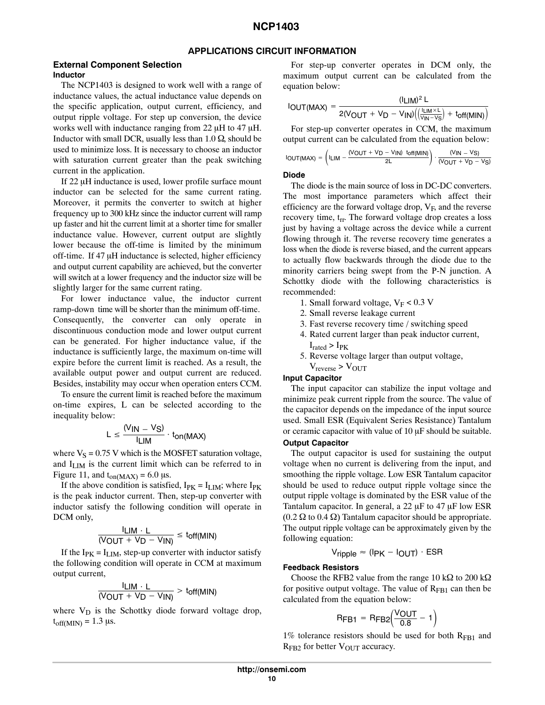## **APPLICATIONS CIRCUIT INFORMATION**

#### **External Component Selection Inductor**

The NCP1403 is designed to work well with a range of inductance values, the actual inductance value depends on the specific application, output current, efficiency, and output ripple voltage. For step up conversion, the device works well with inductance ranging from 22  $\mu$ H to 47  $\mu$ H. Inductor with small DCR, usually less than  $1.0 \Omega$ , should be used to minimize loss. It is necessary to choose an inductor with saturation current greater than the peak switching current in the application.

If 22 µH inductance is used, lower profile surface mount inductor can be selected for the same current rating. Moreover, it permits the converter to switch at higher frequency up to 300 kHz since the inductor current will ramp up faster and hit the current limit at a shorter time for smaller inductance value. However, current output are slightly lower because the off-time is limited by the minimum off-time. If 47 µH inductance is selected, higher efficiency and output current capability are achieved, but the converter will switch at a lower frequency and the inductor size will be slightly larger for the same current rating.

For lower inductance value, the inductor current ramp-down time will be shorter than the minimum off-time. Consequently, the converter can only operate in discontinuous conduction mode and lower output current can be generated. For higher inductance value, if the inductance is sufficiently large, the maximum on-time will expire before the current limit is reached. As a result, the available output power and output current are reduced. Besides, instability may occur when operation enters CCM.

To ensure the current limit is reached before the maximum on-time expires, L can be selected according to the inequality below:

$$
L \leq \frac{(V_{IN} - V_S)}{I_{LIM}} \cdot t_{on(MAX)}
$$

where  $V<sub>S</sub> = 0.75$  V which is the MOSFET saturation voltage, and I<sub>LIM</sub> is the current limit which can be referred to in Figure [11](#page-5-0), and  $t_{on(MAX)} = 6.0 \text{ }\mu\text{s}.$ 

If the above condition is satisfied,  $I_{PK} = I_{LIM}$ ; where  $I_{PK}$ is the peak inductor current. Then, step-up converter with inductor satisfy the following condition will operate in DCM only,

$$
\frac{I_{\text{LIM}} \cdot L}{(V_{\text{OUT}} + V_{\text{D}} - V_{\text{IN}})} \leq \text{toff(MIN)}
$$

If the  $I_{PK} = I_{LIM}$ , step-up converter with inductor satisfy the following condition will operate in CCM at maximum output current,

$$
\frac{I_{\text{LIM}} \cdot L}{(V_{\text{OUT}} + V_{\text{D}} - V_{\text{IN}})} > t_{\text{off}(\text{MIN})}
$$

where  $V_D$  is the Schottky diode forward voltage drop,  $t_{off(MIN)} = 1.3 \text{ }\mu\text{s}.$ 

For step-up converter operates in DCM only, the maximum output current can be calculated from the equation below:

$$
I_{\text{OUT}(MAX)} = \frac{(I_{\text{LIM}})^2 \text{ L}}{2(V_{\text{OUT}} + V_{\text{D}} - V_{\text{IN}}) \left( \left( \frac{I_{\text{LIM}} \times \text{L}}{V_{\text{IN}} - V_{\text{S}}} \right) + t_{\text{off}(MIN)} \right)}
$$

For step-up converter operates in CCM, the maximum output current can be calculated from the equation below:

$$
IOUT(MAX) = \left( I_{LIM} - \frac{(VOUT + V_D - VIN) \text{ toff(MIN)}}{2L} \right) \cdot \frac{(VIN - VS)}{(VOUT + V_D - VS)}
$$

#### **Diode**

The diode is the main source of loss in DC-DC converters. The most importance parameters which affect their efficiency are the forward voltage drop,  $V_F$ , and the reverse recovery time,  $t_{rr}$ . The forward voltage drop creates a loss just by having a voltage across the device while a current flowing through it. The reverse recovery time generates a loss when the diode is reverse biased, and the current appears to actually flow backwards through the diode due to the minority carriers being swept from the P-N junction. A Schottky diode with the following characteristics is recommended:

- 1. Small forward voltage,  $V_F < 0.3$  V
- 2. Small reverse leakage current
- 3. Fast reverse recovery time / switching speed
- 4. Rated current larger than peak inductor current,  $I_{\text{rated}} > I_{\text{PK}}$
- 5. Reverse voltage larger than output voltage,
- $V_{\text{reverse}}$  >  $V_{\text{OUT}}$

#### **Input Capacitor**

The input capacitor can stabilize the input voltage and minimize peak current ripple from the source. The value of the capacitor depends on the impedance of the input source used. Small ESR (Equivalent Series Resistance) Tantalum or ceramic capacitor with value of  $10 \mu$ F should be suitable.

## **Output Capacitor**

The output capacitor is used for sustaining the output voltage when no current is delivering from the input, and smoothing the ripple voltage. Low ESR Tantalum capacitor should be used to reduce output ripple voltage since the output ripple voltage is dominated by the ESR value of the Tantalum capacitor. In general, a  $22 \mu$ F to  $47 \mu$ F low ESR  $(0.2 \Omega$  to 0.4  $\Omega$ ) Tantalum capacitor should be appropriate. The output ripple voltage can be approximately given by the following equation:

$$
V_{\text{ripple}} \approx (I_{\text{PK}} - I_{\text{OUT}}) \cdot \text{ESR}
$$

#### **Feedback Resistors**

Choose the RFB2 value from the range 10 k $\Omega$  to 200 k $\Omega$ for positive output voltage. The value of  $R_{\text{FB1}}$  can then be calculated from the equation below:

$$
RFB1 = RFB2 \left( \frac{VOUT}{0.8} - 1 \right)
$$

1% tolerance resistors should be used for both  $R_{FB1}$  and  $R_{FB2}$  for better  $V_{OUT}$  accuracy.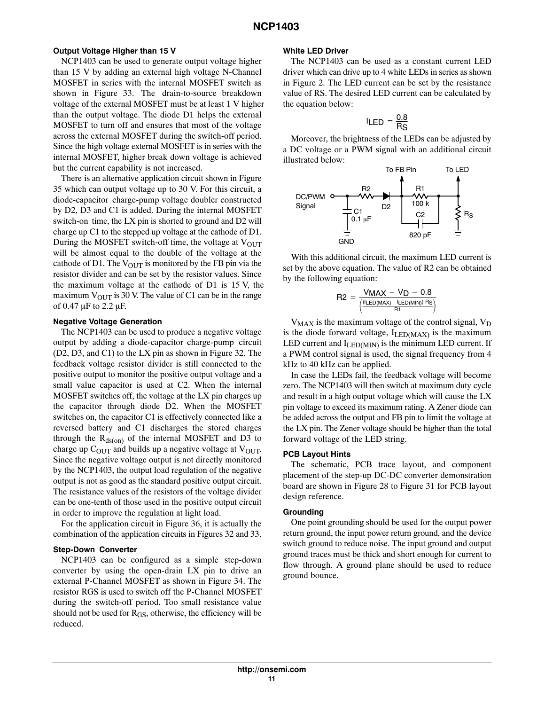#### **Output Voltage Higher than 15 V**

NCP1403 can be used to generate output voltage higher than 15 V by adding an external high voltage N-Channel MOSFET in series with the internal MOSFET switch as shown in Figure [33](#page-13-0). The drain-to-source breakdown voltage of the external MOSFET must be at least 1V higher than the output voltage. The diode D1 helps the external MOSFET to turn off and ensures that most of the voltage across the external MOSFET during the switch-off period. Since the high voltage external MOSFET is in series with the internal MOSFET, higher break down voltage is achieved but the current capability is not increased.

There is an alternative application circuit shown in Figure [35](#page-14-0) which can output voltage up to 30 V. For this circuit, a diode-capacitor charge-pump voltage doubler constructed by D2, D3 and C1 is added. During the internal MOSFET switch-on time, the LX pin is shorted to ground and D2 will charge up C1 to the stepped up voltage at the cathode of D1. During the MOSFET switch-off time, the voltage at  $V_{OUT}$ will be almost equal to the double of the voltage at the cathode of D1. The  $V_{\text{OUT}}$  is monitored by the FB pin via the resistor divider and can be set by the resistor values. Since the maximum voltage at the cathode of D1 is 15V, the maximum  $V_{\text{OUT}}$  is 30 V. The value of C1 can be in the range of  $0.47 \mu$ F to  $2.2 \mu$ F.

#### **Negative Voltage Generation**

The NCP1403 can be used to produce a negative voltage output by adding a diode-capacitor charge-pump circuit (D2, D3, and C1) to the LX pin as shown in Figure [32.](#page-13-0) The feedback voltage resistor divider is still connected to the positive output to monitor the positive output voltage and a small value capacitor is used at C2. When the internal MOSFET switches off, the voltage at the LX pin charges up the capacitor through diode D2. When the MOSFET switches on, the capacitor C1 is effectively connected like a reversed battery and C1 discharges the stored charges through the  $R_{ds(0n)}$  of the internal MOSFET and D3 to charge up  $C_{\text{OUT}}$  and builds up a negative voltage at  $V_{\text{OUT}}$ . Since the negative voltage output is not directly monitored by the NCP1403, the output load regulation of the negative output is not as good as the standard positive output circuit. The resistance values of the resistors of the voltage divider can be one-tenth of those used in the positive output circuit in order to improve the regulation at light load.

For the application circuit in Figure [36,](#page-15-0) it is actually the combination of the application circuits in Figures [32](#page-13-0) and [33](#page-13-0).

#### **Step-Down Converter**

NCP1403 can be configured as a simple step-down converter by using the open-drain LX pin to drive an external P-Channel MOSFET as shown in Figure [34](#page-14-0). The resistor RGS is used to switch off the P-Channel MOSFET during the switch-off period. Too small resistance value should not be used for  $R<sub>GS</sub>$ , otherwise, the efficiency will be reduced.

#### **White LED Driver**

The NCP1403 can be used as a constant current LED driver which can drive up to 4 white LEDs in series as shown in Figure [2.](#page-1-0) The LED current can be set by the resistance value of RS. The desired LED current can be calculated by the equation below:

$$
I_{LED} = \frac{0.8}{R_S}
$$

Moreover, the brightness of the LEDs can be adjusted by a DC voltage or a PWM signal with an additional circuit illustrated below:



With this additional circuit, the maximum LED current is set by the above equation. The value of R2 can be obtained by the following equation:

$$
\text{R2} = \frac{V_{MAX} - V_D - 0.8}{\left(\frac{\left(\text{ILED}\left(\text{MAX}\right) - \text{ILED}\left(\text{MIN}\right)\right) \text{Rs}}{\text{R1}}\right)}
$$

 $V_{MAX}$  is the maximum voltage of the control signal,  $V_D$ is the diode forward voltage,  $I_{LEDMAX}$  is the maximum LED current and  $I_{LED(MIN)}$  is the minimum LED current. If a PWM control signal is used, the signal frequency from 4 kHz to 40 kHz can be applied.

In case the LEDs fail, the feedback voltage will become zero. The NCP1403 will then switch at maximum duty cycle and result in a high output voltage which will cause the LX pin voltage to exceed its maximum rating. A Zener diode can be added across the output and FB pin to limit the voltage at the LX pin. The Zener voltage should be higher than the total forward voltage of the LED string.

#### **PCB Layout Hints**

The schematic, PCB trace layout, and component placement of the step-up DC-DC converter demonstration board are shown in Figure [28](#page-11-0) to Figure [31](#page-12-0) for PCB layout design reference.

#### **Grounding**

One point grounding should be used for the output power return ground, the input power return ground, and the device switch ground to reduce noise. The input ground and output ground traces must be thick and short enough for current to flow through. A ground plane should be used to reduce ground bounce.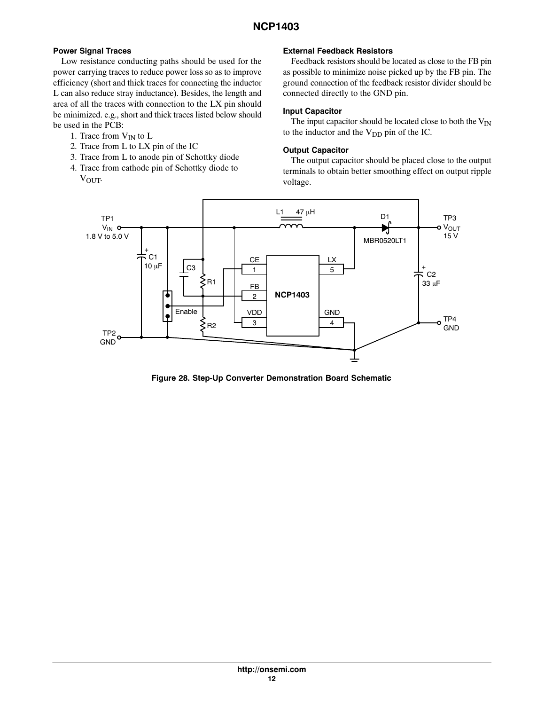# <span id="page-11-0"></span>**Power Signal Traces**

Low resistance conducting paths should be used for the power carrying traces to reduce power loss so as to improve efficiency (short and thick traces for connecting the inductor L can also reduce stray inductance). Besides, the length and area of all the traces with connection to the LX pin should be minimized. e.g., short and thick traces listed below should be used in the PCB:

- 1. Trace from  $V_{IN}$  to  $L$
- 2. Trace from L to LX pin of the IC
- 3. Trace from L to anode pin of Schottky diode
- 4. Trace from cathode pin of Schottky diode to  $V_{\text{OUT}}$

# **External Feedback Resistors**

Feedback resistors should be located as close to the FB pin as possible to minimize noise picked up by the FB pin. The ground connection of the feedback resistor divider should be connected directly to the GND pin.

## **Input Capacitor**

The input capacitor should be located close to both the  $V_{IN}$ to the inductor and the  $V_{DD}$  pin of the IC.

# **Output Capacitor**

The output capacitor should be placed close to the output terminals to obtain better smoothing effect on output ripple voltage.



**Figure 28. Step-Up Converter Demonstration Board Schematic**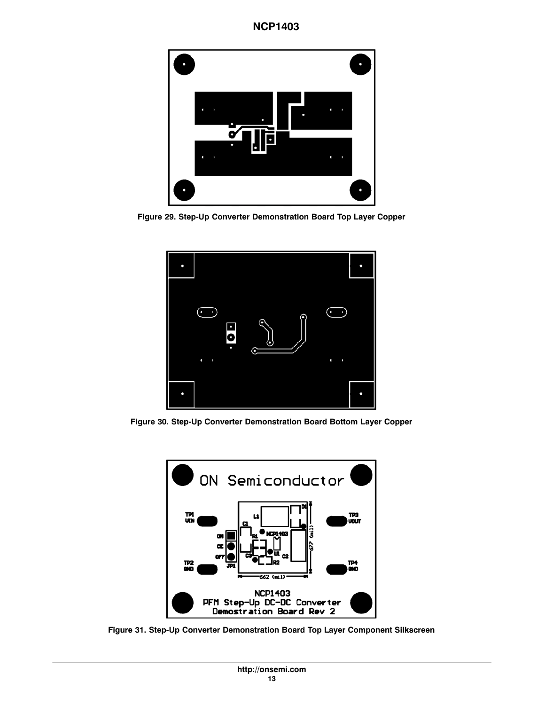<span id="page-12-0"></span>

**Figure 29. Step-Up Converter Demonstration Board Top Layer Copper**



**Figure 30. Step-Up Converter Demonstration Board Bottom Layer Copper**



**Figure 31. Step-Up Converter Demonstration Board Top Layer Component Silkscreen**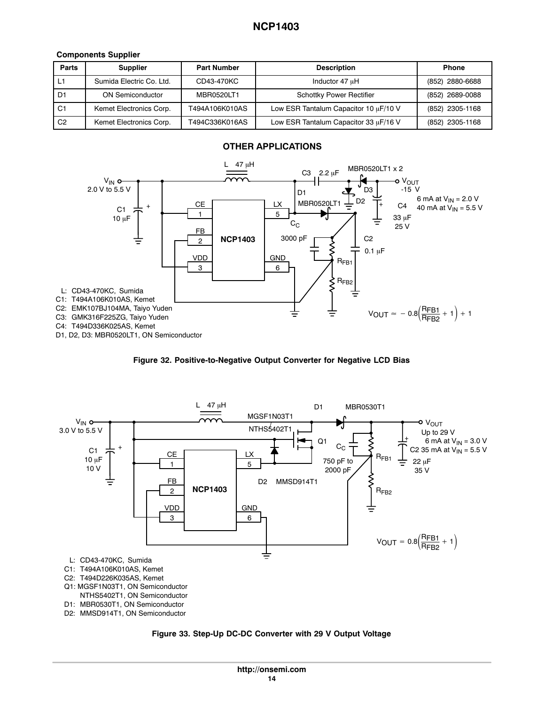# <span id="page-13-0"></span>**Components Supplier**

| <b>Parts</b>   | <b>Supplier</b>          | <b>Part Number</b> | <b>Description</b>                    | <b>Phone</b>    |
|----------------|--------------------------|--------------------|---------------------------------------|-----------------|
|                | Sumida Electric Co. Ltd. | CD43-470KC         | Inductor 47 uH                        | (852) 2880-6688 |
| D1             | <b>ON Semiconductor</b>  | MBR0520LT1         | <b>Schottky Power Rectifier</b>       | (852) 2689-0088 |
| C1             | Kemet Electronics Corp.  | T494A106K010AS     | Low ESR Tantalum Capacitor 10 µF/10 V | (852) 2305-1168 |
| C <sub>2</sub> | Kemet Electronics Corp.  | T494C336K016AS     | Low ESR Tantalum Capacitor 33 µF/16 V | (852) 2305-1168 |







**Figure 33. Step-Up DC-DC Converter with 29 V Output Voltage**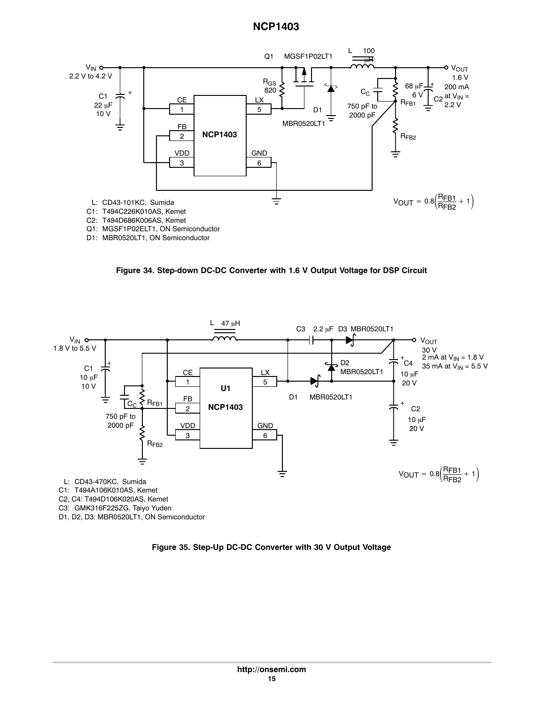<span id="page-14-0"></span>

D1: MBR0520LT1, ON Semiconductor

**Figure 34. Step-down DC-DC Converter with 1.6 V Output Voltage for DSP Circuit**



**Figure 35. Step-Up DC-DC Converter with 30 V Output Voltage**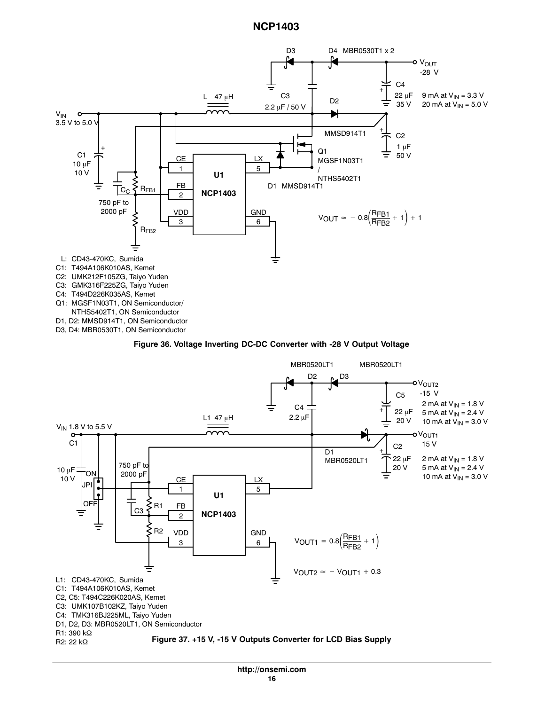<span id="page-15-0"></span>

D3, D4: MBR0530T1, ON Semiconductor

#### **Figure 36. Voltage Inverting DC-DC Converter with -28 V Output Voltage**

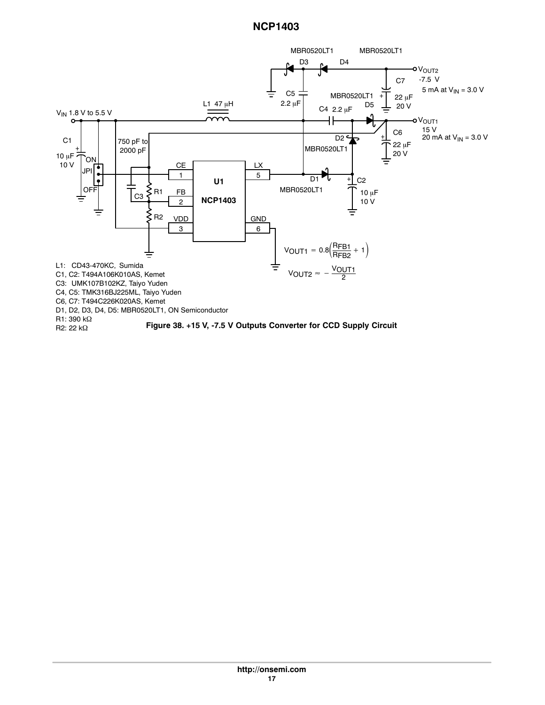